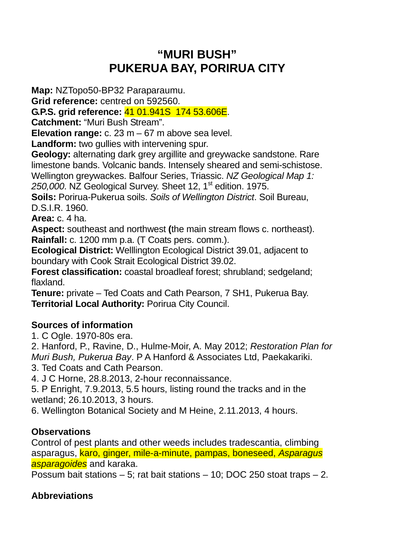# **"MURI BUSH" PUKERUA BAY, PORIRUA CITY**

**Map:** NZTopo50-BP32 Paraparaumu.

**Grid reference:** centred on 592560.

**G.P.S. grid reference:** 41 01.941S 174 53.606E.

**Catchment:** "Muri Bush Stream".

**Elevation range:** c. 23 m – 67 m above sea level.

**Landform:** two gullies with intervening spur.

**Geology:** alternating dark grey argillite and greywacke sandstone. Rare limestone bands. Volcanic bands. Intensely sheared and semi-schistose. Wellington greywackes. Balfour Series, Triassic. NZ Geological Map 1:  $250,000$ . NZ Geological Survey. Sheet 12, 1<sup>st</sup> edition. 1975.

**Soils:** Porirua-Pukerua soils. Soils of Wellington District. Soil Bureau, D.S.I.R. 1960.

**Area:** c. 4 ha.

**Aspect:** southeast and northwest **(**the main stream flows c. northeast). **Rainfall:** c. 1200 mm p.a. (T Coats pers. comm.).

**Ecological District:** Welllington Ecological District 39.01, adjacent to boundary with Cook Strait Ecological District 39.02.

**Forest classification:** coastal broadleaf forest; shrubland; sedgeland; flaxland.

**Tenure:** private – Ted Coats and Cath Pearson, 7 SH1, Pukerua Bay. **Territorial Local Authority:** Porirua City Council.

## **Sources of information**

1. C Ogle. 1970-80s era.

2. Hanford, P., Ravine, D., Hulme-Moir, A. May 2012; Restoration Plan for Muri Bush, Pukerua Bay. P A Hanford & Associates Ltd, Paekakariki.

3. Ted Coats and Cath Pearson.

4. J C Horne, 28.8.2013, 2-hour reconnaissance.

5. P Enright, 7.9.2013, 5.5 hours, listing round the tracks and in the wetland; 26.10.2013, 3 hours.

6. Wellington Botanical Society and M Heine, 2.11.2013, 4 hours.

## **Observations**

Control of pest plants and other weeds includes tradescantia, climbing asparagus, **karo, ginger, mile-a-minute, pampas, boneseed, Asparagus** asparagoides and karaka.

Possum bait stations – 5; rat bait stations – 10; DOC 250 stoat traps – 2.

## **Abbreviations**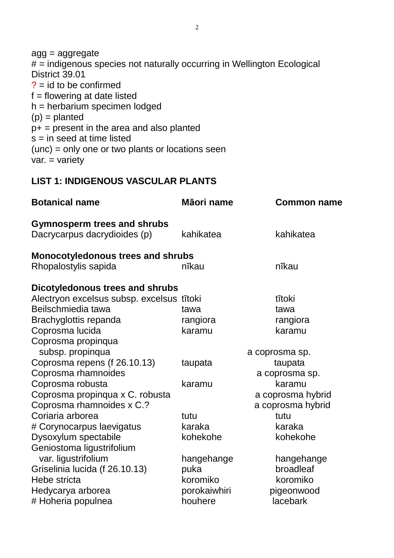agg = aggregate # = indigenous species not naturally occurring in Wellington Ecological District 39.01  $? = id to be confirmed$  $f =$  flowering at date listed  $h = herbarium$  specimen lodged  $(p) =$  planted  $p+$  = present in the area and also planted  $s = in$  seed at time listed (unc) = only one or two plants or locations seen var. = variety

**LIST 1: INDIGENOUS VASCULAR PLANTS** 

| <b>Botanical name</b>                                              | Māori name   | <b>Common name</b> |  |  |  |
|--------------------------------------------------------------------|--------------|--------------------|--|--|--|
| <b>Gymnosperm trees and shrubs</b><br>Dacrycarpus dacrydioides (p) | kahikatea    | kahikatea          |  |  |  |
| <b>Monocotyledonous trees and shrubs</b>                           |              |                    |  |  |  |
| Rhopalostylis sapida                                               | nīkau        | nīkau              |  |  |  |
| Dicotyledonous trees and shrubs                                    |              |                    |  |  |  |
| Alectryon excelsus subsp. excelsus tītoki                          |              | tītoki             |  |  |  |
| Beilschmiedia tawa                                                 | tawa         | tawa               |  |  |  |
| Brachyglottis repanda                                              | rangiora     | rangiora           |  |  |  |
| Coprosma lucida                                                    | karamu       | karamu             |  |  |  |
| Coprosma propinqua                                                 |              |                    |  |  |  |
| subsp. propinqua                                                   |              | a coprosma sp.     |  |  |  |
| Coprosma repens (f 26.10.13)                                       | taupata      | taupata            |  |  |  |
| Coprosma rhamnoides                                                |              | a coprosma sp.     |  |  |  |
| Coprosma robusta                                                   | karamu       | karamu             |  |  |  |
| Coprosma propinqua x C. robusta                                    |              | a coprosma hybrid  |  |  |  |
| Coprosma rhamnoides x C.?                                          |              | a coprosma hybrid  |  |  |  |
| Coriaria arborea                                                   | tutu         | tutu               |  |  |  |
| # Corynocarpus laevigatus                                          | karaka       | karaka             |  |  |  |
| Dysoxylum spectabile                                               | kohekohe     | kohekohe           |  |  |  |
| Geniostoma ligustrifolium                                          |              |                    |  |  |  |
| var. ligustrifolium                                                | hangehange   | hangehange         |  |  |  |
| Griselinia lucida (f 26.10.13)                                     | puka         | broadleaf          |  |  |  |
| Hebe stricta                                                       | koromiko     | koromiko           |  |  |  |
| Hedycarya arborea                                                  | porokaiwhiri | pigeonwood         |  |  |  |
| # Hoheria populnea                                                 | houhere      | lacebark           |  |  |  |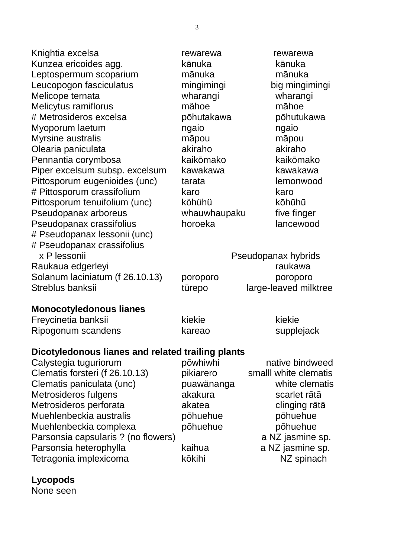Knightia excelsa rewarewa rewarewa rewarewa Kunzea ericoides agg. kānuka kānuka Leptospermum scoparium mānuka mānuka Leucopogon fasciculatus mingimingi big mingimingi Melicope ternata wharangi wharangi Melicytus ramiflorus mähoe māhoe # Metrosideros excelsa pōhutakawa pōhutukawa Myoporum laetum ngaio ngaio ngaio Myrsine australis māpou māpou Olearia paniculata akiraho akiraho akiraho akiraho Pennantia corymbosa kaikōmako kaikōmako Piper excelsum subsp. excelsum kawakawa kawakawa Pittosporum eugenioides (unc) tarata lemonwood # Pittosporum crassifolium karo karo Pittosporum tenuifolium (unc) köhühü kōhūhū Pseudopanax arboreus whauwhaupaku five finger Pseudopanax crassifolius horoeka lancewood # Pseudopanax lessonii (unc) # Pseudopanax crassifolius x P lessonii Raukaua edgerleyi Solanum laciniatum (f  $26.10.13$ ) poro Streblus banksii tūrepo large-leaved milk

|          | Pseudopanax hybrids   |  |
|----------|-----------------------|--|
|          | raukawa               |  |
| poroporo | poroporo              |  |
| ūrepo    | large-leaved milktree |  |
|          |                       |  |

#### **Monocotyledonous lianes**

Freycinetia banksii kiekie kiekie kiekie kiekie Ripogonum scandens bareao bareao supplejack

#### **Dicotyledonous lianes and related trailing plants**

Calystegia tuguriorum bōwhiwhi native bindweed Clematis forsteri (f 26.10.13) pikiarero smalll white clematis Clematis paniculata (unc) puawänanga white clematis Metrosideros fulgens barrakakura akakura scarlet rātā Metrosideros perforata akatea clinging rātā Muehlenbeckia australis pōhuehue pōhuehue Muehlenbeckia complexa pōhuehue pōhuehue Parsonsia capsularis ? (no flowers) a NZ jasmine sp. Parsonsia heterophylla kaihua a NZ jasmine sp. Tetragonia implexicoma boshi kōkihi NZ spinach

## **Lycopods**

None seen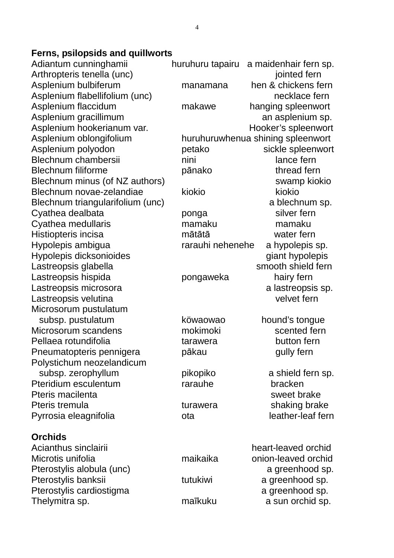#### **Ferns, psilopsids and quillworts**

Adiantum cunninghamii huruhuru tapairu a maidenhair fern sp. Blechnum novae-zelandiae kiokio kiokio kiokio Cyathea medullaris mamaku mamaku Microsorum pustulatum Polystichum neozelandicum Pteridium esculentum entitlementum rarauhe bracken

#### **Orchids**

Arthropteris tenella (unc) intervalsed fernis in the settlement of the settlement of the settlement of the set Asplenium bulbiferum manamana hen & chickens fern Asplenium flabellifolium (unc) necklace fern Asplenium flaccidum makawe hanging spleenwort Asplenium gracillimum and an asplenium sp. Asplenium hookerianum var.<br>
Hooker's spleenwort Asplenium oblongifolium huruhuruwhenua shining spleenwort Asplenium polyodon betako sickle spleenwort Blechnum chambersii nini nini nini lance fern Blechnum filiforme **pānako** thread fern Blechnum minus (of NZ authors) swamp kiokio Blechnum triangularifolium (unc) a blechnum sp. Cyathea dealbata **booking** ponga silver fern Histiopteris incisa mātātā water fern Hypolepis ambigua rarauhi nehenehe a hypolepis sp. Hypolepis dicksonioides giant hypolepis Lastreopsis glabella smooth shield fern Lastreopsis hispida **beida** pongaweka hairy fern Lastreopsis microsora a lastreopsis sp. Lastreopsis velutina velvet fern subsp. pustulatum köwaowao hound's tongue Microsorum scandens mokimoki scented fern Pellaea rotundifolia button tarawera tarawera button fern Pneumatopteris pennigera bākau bazarī par aully fern subsp. zerophyllum bikopiko a shield fern sp. Pteris macilenta sweet brake Pteris tremula turawera turawera shaking brake Pyrrosia eleagnifolia bota de leather-leaf fern Acianthus sinclairii heart-leaved orchid Microtis unifolia maikaika onion-leaved orchid Pterostylis alobula (unc) a greenhood sp. Pterostylis banksii banksii banksii banksii kutukiwi a greenhood sp. Pterostylis cardiostigma a greenhood sp. Thelymitra sp. Thelymitra sp. maikuku a sun orchid sp.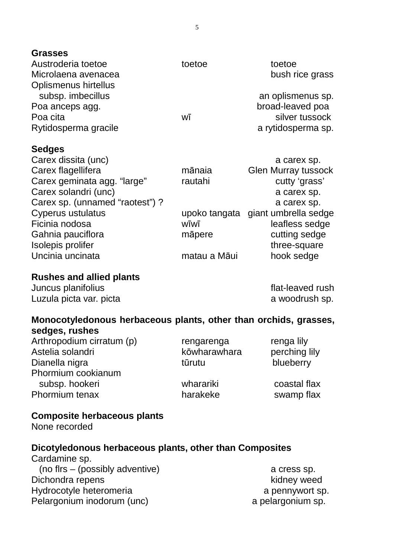**Grasses** 

| Austroderia toetoe<br>Microlaena avenacea<br><b>Oplismenus hirtellus</b> | toetoe | toetoe<br>bush rice grass                                                     |
|--------------------------------------------------------------------------|--------|-------------------------------------------------------------------------------|
| subsp. imbecillus<br>Poa anceps agg.<br>Poa cita<br>Rytidosperma gracile | WĪ     | an oplismenus sp.<br>broad-leaved poa<br>silver tussock<br>a rytidosperma sp. |
| <b>Sedges</b><br>Carex dissita (unc)<br>Carex flagellifera               | mānaia | a carex sp.<br><b>Glen Murray tussock</b>                                     |

| Carex flagellifera              | mānaia       | <b>Glen Murray tussock</b>         |
|---------------------------------|--------------|------------------------------------|
| Carex geminata agg. "large"     | rautahi      | cutty 'grass'                      |
| Carex solandri (unc)            |              | a carex sp.                        |
| Carex sp. (unnamed "raotest") ? |              | a carex sp.                        |
| Cyperus ustulatus               |              | upoko tangata giant umbrella sedge |
| Ficinia nodosa                  | wīwī         | leafless sedge                     |
| Gahnia pauciflora               | māpere       | cutting sedge                      |
| Isolepis prolifer               |              | three-square                       |
| Uncinia uncinata                | matau a Māui | hook sedge                         |

**Rushes and allied plants** 

Juncus planifolius **flat-leaved rush** Luzula picta var. picta a metal a woodrush sp.

#### **Monocotyledonous herbaceous plants, other than orchids, grasses, sedges, rushes**

Arthropodium cirratum (p) rengarenga renga lily Astelia solandri eta kōwharawhara perching lily Dianella nigra tūrutu blueberry Phormium cookianum subsp. hookeri wharariki coastal flax Phormium tenax harakeke swamp flax

#### **Composite herbaceous plants**

None recorded

#### **Dicotyledonous herbaceous plants, other than Composites**

Cardamine sp. (no flrs – (possibly adventive) a cress sp. Dichondra repens and the state of the state of the state of the state of the state of the state of the state of the state of the state of the state of the state of the state of the state of the state of the state of the st Hydrocotyle heteromeria a pennywort sp. Pelargonium inodorum (unc) a pelargonium sp.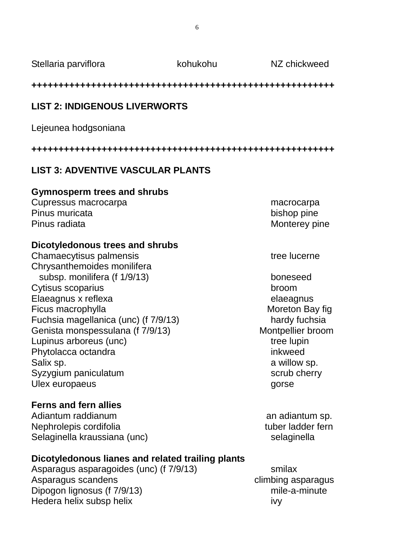Stellaria parviflora beras kohukohu NZ chickweed

#### **++++++++++++++++++++++++++++++++++++++++++++++++++++++++**

## **LIST 2: INDIGENOUS LIVERWORTS**

Lejeunea hodgsoniana

**++++++++++++++++++++++++++++++++++++++++++++++++++++++++** 

## **LIST 3: ADVENTIVE VASCULAR PLANTS**

#### **Gymnosperm trees and shrubs**

Cupressus macrocarpa macrocarpa macrocarpa Pinus muricata bishop pine Pinus radiata Monterey pine

### **Dicotyledonous trees and shrubs**

Chamaecytisus palmensis tree lucerne Chrysanthemoides monilifera subsp. monilifera (f 1/9/13) boneseed Cytisus scoparius broom Elaeagnus x reflexa elaeagnus elaeagnus Ficus macrophylla **Ficus** macrophylla Fuchsia magellanica (unc) (f 7/9/13) hardy fuchsia Genista monspessulana (f 7/9/13) Montpellier broom Lupinus arboreus (unc) extending the lupin tree lupin Phytolacca octandra inkweed Salix sp. **a** willow sp. Syzygium paniculatum scrub cherry scrub cherry Ulex europaeus gorse

## **Ferns and fern allies**

Adiantum raddianum annum annum sp. Nephrolepis cordifolia tuber ladder fern Selaginella kraussiana (unc) selaginella

## **Dicotyledonous lianes and related trailing plants**

Asparagus asparagoides (unc) (f 7/9/13) smilax Asparagus scandens climbing asparagus Dipogon lignosus (f 7/9/13) mile-a-minute Hedera helix subsp helix ivy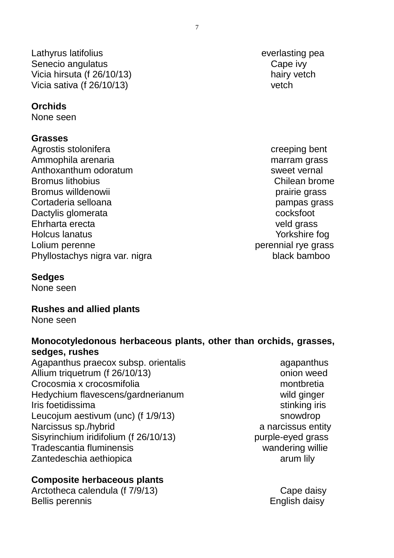Lathyrus latifolius everlasting pea Senecio angulatus Cape ivy Vicia hirsuta (f 26/10/13) hairy vetch Vicia sativa (f 26/10/13) vetch

#### **Orchids**

None seen

#### **Grasses**

Agrostis stolonifera creeping bent Ammophila arenaria matematika marram grass Anthoxanthum odoratum sweet vernal Bromus lithobius **Chilean brome** Bromus willdenowii bronne brand brand brand brairie grass Cortaderia selloana pampas grass Dactylis glomerata cocksfoot Ehrharta erecta veld grass Holcus lanatus Yorkshire fog Lolium perenne perennial rye grass Phyllostachys nigra var. nigra black bamboo

#### **Sedges**

None seen

#### **Rushes and allied plants**

None seen

### **Monocotyledonous herbaceous plants, other than orchids, grasses, sedges, rushes**

Agapanthus praecox subsp. orientalis and the magapanthus agapanthus Allium triquetrum (f 26/10/13) and the contract only the contract only weed Crocosmia x crocosmifolia monto e contra montbretia Hedychium flavescens/gardnerianum wild ginger Iris foetidissima stinking iris Leucojum aestivum (unc) (f 1/9/13) snowdrop Narcissus sp./hybrid a narcissus entity Sisyrinchium iridifolium (f 26/10/13) purple-eyed grass Tradescantia fluminensis wandering willie Zantedeschia aethiopica arum lily

#### **Composite herbaceous plants**

Arctotheca calendula (f 7/9/13) Cape daisy Bellis perennis **English daisy**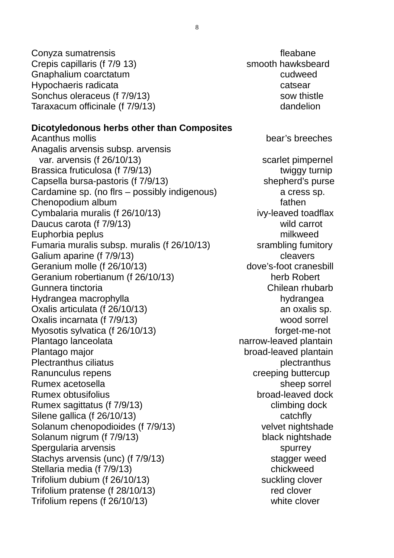Conyza sumatrensis et al. and the set of the fleabane fleabane Crepis capillaris (f 7/9 13) Smooth hawksbeard Gnaphalium coarctatum cudweed Hypochaeris radicata catsear Sonchus oleraceus (f 7/9/13) sow thistle Taraxacum officinale (f 7/9/13) dandelion

#### **Dicotyledonous herbs other than Composites**

Acanthus mollis and the control of the control of the bear's breeches Anagalis arvensis subsp. arvensis var. arvensis (f 26/10/13) scarlet pimpernel Brassica fruticulosa (f 7/9/13) twiggy turnip Capsella bursa-pastoris (f 7/9/13) shepherd's purse Cardamine sp. (no flrs – possibly indigenous) a cress sp. Chenopodium album fathen Cymbalaria muralis (f 26/10/13) ivy-leaved toadflax Daucus carota (f 7/9/13) Daucus carrot Euphorbia peplus milkweed Fumaria muralis subsp. muralis (f 26/10/13) srambling fumitory Galium aparine (f 7/9/13) Cleavers Geranium molle (f 26/10/13) dove's-foot cranesbill Geranium robertianum (f 26/10/13) herb Robert Gunnera tinctoria Chilean rhubarb Hydrangea macrophylla hydrangea hydrangea Oxalis articulata (f 26/10/13) an oxalis sp. Oxalis incarnata (f 7/9/13) wood sorrel Myosotis sylvatica (f 26/10/13) forget-me-not Plantago lanceolata narrow-leaved plantain Plantago major broad-leaved plantain Plectranthus ciliatus **plectranthus** Ranunculus repens extended to the creeping buttercup Rumex acetosella sheep sorrel Rumex obtusifolius broad-leaved dock Rumex sagittatus (f 7/9/13) climbing dock Silene gallica (f 26/10/13) catchfly Solanum chenopodioides (f 7/9/13) velvet nightshade Solanum nigrum (f 7/9/13) black nightshade Spergularia arvensis spurrey spurrey Stachys arvensis (unc) (f 7/9/13) stagger weed Stellaria media (f 7/9/13) chickweed Trifolium dubium (f 26/10/13) suckling clover Trifolium pratense (f 28/10/13) red clover Trifolium repens (f 26/10/13) white clover